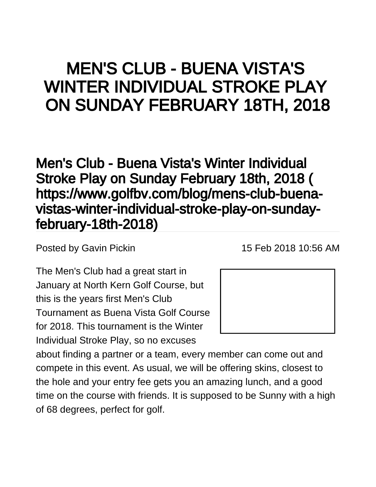## MEN'S CLUB - BUENA VISTA'S WINTER INDIVIDUAL STROKE PLAY ON SUNDAY FEBRUARY 18TH, 2018

[Men's Club - Buena Vista's Winter Individual](https://www.golfbv.com/blog/mens-club-buena-vistas-winter-individual-stroke-play-on-sunday-february-18th-2018)  [Stroke Play on Sunday February 18th, 2018 \(](https://www.golfbv.com/blog/mens-club-buena-vistas-winter-individual-stroke-play-on-sunday-february-18th-2018) [https://www.golfbv.com/blog/mens-club-buena](https://www.golfbv.com/blog/mens-club-buena-vistas-winter-individual-stroke-play-on-sunday-february-18th-2018)[vistas-winter-individual-stroke-play-on-sunday](https://www.golfbv.com/blog/mens-club-buena-vistas-winter-individual-stroke-play-on-sunday-february-18th-2018)[february-18th-2018\)](https://www.golfbv.com/blog/mens-club-buena-vistas-winter-individual-stroke-play-on-sunday-february-18th-2018)

Posted by [Gavin Pickin](#) 15 Feb 2018 10:56 AM

The Men's Club had a great start in January at North Kern Golf Course, but this is the years first Men's Club Tournament as Buena Vista Golf Course for 2018. This tournament is the Winter Individual Stroke Play, so no excuses



about finding a partner or a team, every member can come out and compete in this event. As usual, we will be offering skins, closest to the hole and your entry fee gets you an amazing lunch, and a good time on the course with friends. It is supposed to be Sunny with a high of 68 degrees, perfect for golf.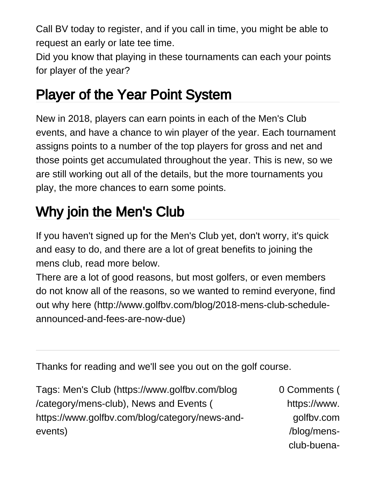Call BV today to register, and if you call in time, you might be able to request an early or late tee time.

Did you know that playing in these tournaments can each your points for player of the year?

## Player of the Year Point System

New in 2018, players can earn points in each of the Men's Club events, and have a chance to win player of the year. Each tournament assigns points to a number of the top players for gross and net and those points get accumulated throughout the year. This is new, so we are still working out all of the details, but the more tournaments you play, the more chances to earn some points.

## Why join the Men's Club

If you haven't signed up for the Men's Club yet, don't worry, it's quick and easy to do, and there are a lot of great benefits to joining the mens club, read more below.

[There are a lot of good reasons, but most golfers, or even members](http://www.golfbv.com/blog/2018-mens-club-schedule-announced-and-fees-are-now-due)  [do not know all of the reasons, so we wanted to remind everyone, find](http://www.golfbv.com/blog/2018-mens-club-schedule-announced-and-fees-are-now-due)  [out why here \(http://www.golfbv.com/blog/2018-mens-club-schedule](http://www.golfbv.com/blog/2018-mens-club-schedule-announced-and-fees-are-now-due)[announced-and-fees-are-now-due\)](http://www.golfbv.com/blog/2018-mens-club-schedule-announced-and-fees-are-now-due)

Thanks for reading and we'll see you out on the golf course.

| Tags: Men's Club (https://www.golfbv.com/blog  | 0 Comments ( |
|------------------------------------------------|--------------|
| /category/mens-club), News and Events (        | https://www. |
| https://www.golfby.com/blog/category/news-and- | golfby.com   |
| events)                                        | /blog/mens-  |
|                                                | club-buena-  |